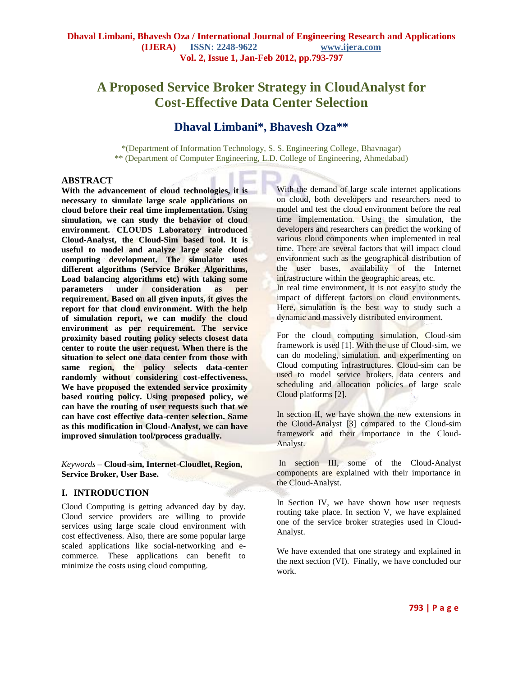# **A Proposed Service Broker Strategy in CloudAnalyst for Cost-Effective Data Center Selection**

# **Dhaval Limbani\*, Bhavesh Oza\*\***

\*(Department of Information Technology, S. S. Engineering College, Bhavnagar) \*\* (Department of Computer Engineering, L.D. College of Engineering, Ahmedabad)

#### **ABSTRACT**

**With the advancement of cloud technologies, it is necessary to simulate large scale applications on cloud before their real time implementation. Using simulation, we can study the behavior of cloud environment. CLOUDS Laboratory introduced Cloud-Analyst, the Cloud-Sim based tool. It is useful to model and analyze large scale cloud computing development. The simulator uses different algorithms (Service Broker Algorithms, Load balancing algorithms etc) with taking some parameters under consideration as per requirement. Based on all given inputs, it gives the report for that cloud environment. With the help of simulation report, we can modify the cloud environment as per requirement. The service proximity based routing policy selects closest data center to route the user request. When there is the situation to select one data center from those with same region, the policy selects data-center randomly without considering cost-effectiveness. We have proposed the extended service proximity based routing policy. Using proposed policy, we can have the routing of user requests such that we can have cost effective data-center selection. Same as this modification in Cloud-Analyst, we can have improved simulation tool/process gradually.**

*Keywords* **– Cloud-sim, Internet-Cloudlet, Region, Service Broker, User Base.**

## **I. INTRODUCTION**

Cloud Computing is getting advanced day by day. Cloud service providers are willing to provide services using large scale cloud environment with cost effectiveness. Also, there are some popular large scaled applications like social-networking and ecommerce. These applications can benefit to minimize the costs using cloud computing.

With the demand of large scale internet applications on cloud, both developers and researchers need to model and test the cloud environment before the real time implementation. Using the simulation, the developers and researchers can predict the working of various cloud components when implemented in real time. There are several factors that will impact cloud environment such as the geographical distribution of the user bases, availability of the Internet infrastructure within the geographic areas, etc. In real time environment, it is not easy to study the

impact of different factors on cloud environments. Here, simulation is the best way to study such a dynamic and massively distributed environment.

For the cloud computing simulation, Cloud-sim framework is used [1]. With the use of Cloud-sim, we can do modeling, simulation, and experimenting on Cloud computing infrastructures. Cloud-sim can be used to model service brokers, data centers and scheduling and allocation policies of large scale Cloud platforms [2].

In section II, we have shown the new extensions in the Cloud-Analyst [3] compared to the Cloud-sim framework and their importance in the Cloud-Analyst.

In section III, some of the Cloud-Analyst components are explained with their importance in the Cloud-Analyst.

In Section IV, we have shown how user requests routing take place. In section V, we have explained one of the service broker strategies used in Cloud-Analyst.

We have extended that one strategy and explained in the next section (VI). Finally, we have concluded our work.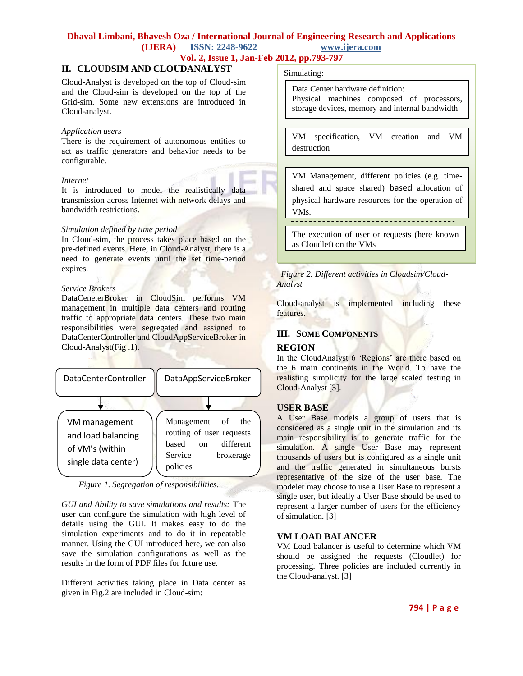# **Dhaval Limbani, Bhavesh Oza / International Journal of Engineering Research and Applications**

**(IJERA) ISSN: 2248-9622 www.ijera.com**

**Vol. 2, Issue 1, Jan-Feb 2012, pp.793-797**

# **II. CLOUDSIM AND CLOUDANALYST** Simulating:

Cloud-Analyst is developed on the top of Cloud-sim and the Cloud-sim is developed on the top of the Grid-sim. Some new extensions are introduced in Cloud-analyst.

#### *Application users*

There is the requirement of autonomous entities to act as traffic generators and behavior needs to be configurable.

#### *Internet*

It is introduced to model the realistically data transmission across Internet with network delays and bandwidth restrictions.

#### *Simulation defined by time period*

In Cloud-sim, the process takes place based on the pre-defined events. Here, in Cloud-Analyst, there is a need to generate events until the set time-period expires.

#### *Service Brokers*

DataCeneterBroker in CloudSim performs VM management in multiple data centers and routing traffic to appropriate data centers. These two main responsibilities were segregated and assigned to DataCenterController and CloudAppServiceBroker in Cloud-Analyst(Fig .1).



 *Figure 1. Segregation of responsibilities.*

*GUI and Ability to save simulations and results:* The user can configure the simulation with high level of details using the GUI. It makes easy to do the simulation experiments and to do it in repeatable manner. Using the GUI introduced here, we can also save the simulation configurations as well as the results in the form of PDF files for future use.

Different activities taking place in Data center as given in Fig.2 are included in Cloud-sim:

Data Center hardware definition: Physical machines composed of processors, storage devices, memory and internal bandwidth

VM specification, VM creation and VM destruction

--------------------------------------

VM Management, different policies (e.g. timeshared and space shared) based allocation of physical hardware resources for the operation of VMs.

The execution of user or requests (here known as Cloudlet) on the VMs

#### *Figure 2. Different activities in Cloudsim/Cloud-Analyst*

Cloud-analyst is implemented including these features.

### **III. SOME COMPONENTS**

#### **REGION**

In the CloudAnalyst 6 'Regions' are there based on the 6 main continents in the World. To have the realisting simplicity for the large scaled testing in Cloud-Analyst [3].

#### **USER BASE**

A User Base models a group of users that is considered as a single unit in the simulation and its main responsibility is to generate traffic for the simulation. A single User Base may represent thousands of users but is configured as a single unit and the traffic generated in simultaneous bursts representative of the size of the user base. The modeler may choose to use a User Base to represent a single user, but ideally a User Base should be used to represent a larger number of users for the efficiency of simulation. [3]

#### **VM LOAD BALANCER**

VM Load balancer is useful to determine which VM should be assigned the requests (Cloudlet) for processing. Three policies are included currently in the Cloud-analyst. [3]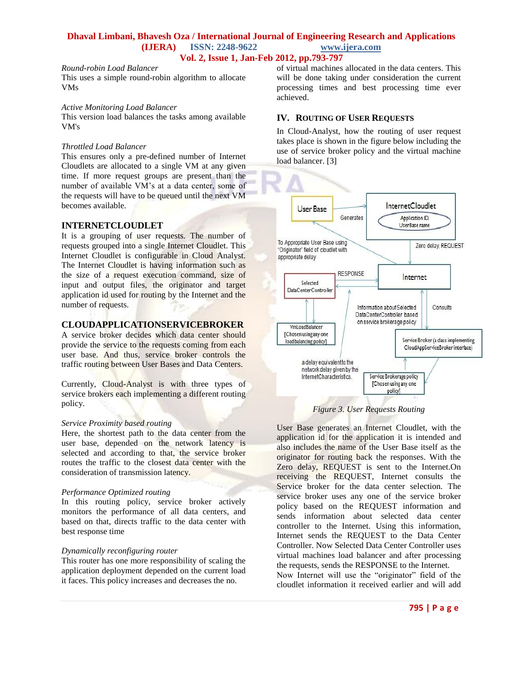#### **Dhaval Limbani, Bhavesh Oza / International Journal of Engineering Research and Applications (IJERA) ISSN: 2248-9622 www.ijera.com Vol. 2, Issue 1, Jan-Feb 2012, pp.793-797**

#### *Round-robin Load Balancer*

This uses a simple round-robin algorithm to allocate VMs

#### *Active Monitoring Load Balancer*

This version load balances the tasks among available VM's

#### *Throttled Load Balancer*

This ensures only a pre-defined number of Internet Cloudlets are allocated to a single VM at any given time. If more request groups are present than the number of available VM"s at a data center, some of the requests will have to be queued until the next VM becomes available.

#### **INTERNETCLOUDLET**

It is a grouping of user requests. The number of requests grouped into a single Internet Cloudlet. This Internet Cloudlet is configurable in Cloud Analyst. The Internet Cloudlet is having information such as the size of a request execution command, size of input and output files, the originator and target application id used for routing by the Internet and the number of requests.

#### **CLOUDAPPLICATIONSERVICEBROKER**

A service broker decides which data center should provide the service to the requests coming from each user base. And thus, service broker controls the traffic routing between User Bases and Data Centers.

Currently, Cloud-Analyst is with three types of service brokers each implementing a different routing policy.

#### *Service Proximity based routing*

Here, the shortest path to the data center from the user base, depended on the network latency is selected and according to that, the service broker routes the traffic to the closest data center with the consideration of transmission latency.

#### *Performance Optimized routing*

In this routing policy, service broker actively monitors the performance of all data centers, and based on that, directs traffic to the data center with best response time

#### *Dynamically reconfiguring router*

This router has one more responsibility of scaling the application deployment depended on the current load it faces. This policy increases and decreases the no.

of virtual machines allocated in the data centers. This will be done taking under consideration the current processing times and best processing time ever achieved.

#### **IV. ROUTING OF USER REQUESTS**

In Cloud-Analyst, how the routing of user request takes place is shown in the figure below including the use of service broker policy and the virtual machine load balancer. [3]





User Base generates an Internet Cloudlet, with the application id for the application it is intended and also includes the name of the User Base itself as the originator for routing back the responses. With the Zero delay, REQUEST is sent to the Internet.On receiving the REQUEST, Internet consults the Service broker for the data center selection. The service broker uses any one of the service broker policy based on the REQUEST information and sends information about selected data center controller to the Internet. Using this information, Internet sends the REQUEST to the Data Center Controller. Now Selected Data Center Controller uses virtual machines load balancer and after processing the requests, sends the RESPONSE to the Internet.

Now Internet will use the "originator" field of the cloudlet information it received earlier and will add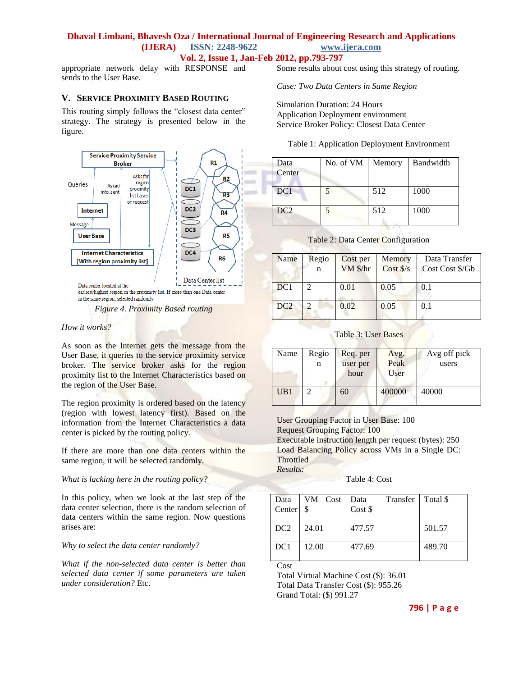#### **Dhaval Limbani, Bhavesh Oza / International Journal of Engineering Research and Applications (IJERA) ISSN: 2248-9622 www.ijera.com Vol. 2, Issue 1, Jan-Feb 2012, pp.793-797**

appropriate network delay with RESPONSE and sends to the User Base.

#### **V. SERVICE PROXIMITY BASED ROUTING**

This routing simply follows the "closest data center" strategy. The strategy is presented below in the figure.



*Figure 4. Proximity Based routing*

#### *How it works?*

As soon as the Internet gets the message from the User Base, it queries to the service proximity service broker. The service broker asks for the region proximity list to the Internet Characteristics based on the region of the User Base.

The region proximity is ordered based on the latency (region with lowest latency first). Based on the information from the Internet Characteristics a data center is picked by the routing policy.

If there are more than one data centers within the same region, it will be selected randomly.

*What is lacking here in the routing policy?*

In this policy, when we look at the last step of the data center selection, there is the random selection of data centers within the same region. Now questions arises are:

*Why to select the data center randomly?*

*What if the non-selected data center is better than selected data center if some parameters are taken under consideration?* Etc.

Some results about cost using this strategy of routing.

*Case: Two Data Centers in Same Region*

Simulation Duration: 24 Hours Application Deployment environment Service Broker Policy: Closest Data Center

|  |  |  | Table 1: Application Deployment Environment |
|--|--|--|---------------------------------------------|
|  |  |  |                                             |

| Data<br>Center  | No. of VM | Memory | Bandwidth |
|-----------------|-----------|--------|-----------|
| DC <sub>1</sub> |           | 512    | 1000      |
| DC <sub>2</sub> | 5         | 512    | 1000      |

| Name | Regio<br>n | Cost per<br>VM \$/hr | Memory<br>Cost \$/s | Data Transfer<br>Cost Cost \$/Gb |
|------|------------|----------------------|---------------------|----------------------------------|
| DC1  |            | 0.01                 | 0.05                | 0.1                              |
| DC2  |            | 0.02                 | 0.05                | 0.1                              |

Table 2: Data Center Configuration

#### Table 3: User Bases

| Name | Regio<br>n | Req. per<br>user per<br>hour | Avg.<br>Peak<br>User | Avg off pick<br>users |
|------|------------|------------------------------|----------------------|-----------------------|
| UB1  |            | 60                           | 400000               | 40000                 |

User Grouping Factor in User Base: 100 Request Grouping Factor: 100 Executable instruction length per request (bytes): 250 Load Balancing Policy across VMs in a Single DC: **Throttled** *Results:*

Table 4: Cost

| Data<br>Center <sup>8</sup> | VM Cost | Transfer   Total \$<br>Data<br>Cost \$ |        |
|-----------------------------|---------|----------------------------------------|--------|
| DC2                         | 24.01   | 477.57                                 | 501.57 |
| DC1                         | 12.00   | 477.69                                 | 489.70 |

Cost

Total Virtual Machine Cost (\$): 36.01 Total Data Transfer Cost (\$): 955.26 Grand Total: (\$) 991.27